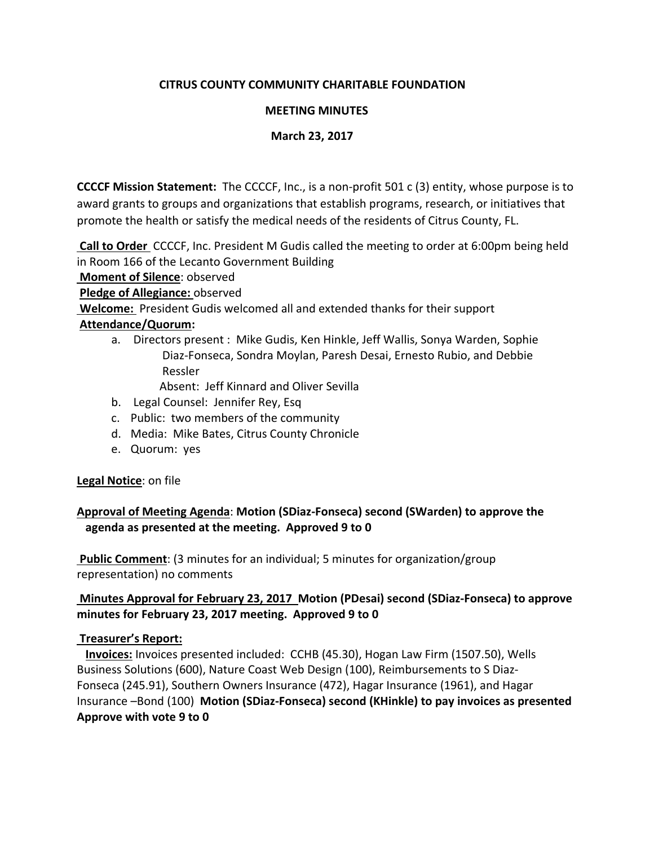# **CITRUS COUNTY COMMUNITY CHARITABLE FOUNDATION**

## **MEETING MINUTES**

### **March 23, 2017**

**CCCCF Mission Statement:** The CCCCF, Inc., is a non-profit 501 c (3) entity, whose purpose is to award grants to groups and organizations that establish programs, research, or initiatives that promote the health or satisfy the medical needs of the residents of Citrus County, FL.

**Call to Order** CCCCF, Inc. President M Gudis called the meeting to order at 6:00pm being held in Room 166 of the Lecanto Government Building

**Moment of Silence**: observed

**Pledge of Allegiance:** observed

**Welcome:** President Gudis welcomed all and extended thanks for their support

### **Attendance/Quorum:**

a. Directors present : Mike Gudis, Ken Hinkle, Jeff Wallis, Sonya Warden, Sophie Diaz-Fonseca, Sondra Moylan, Paresh Desai, Ernesto Rubio, and Debbie Ressler

Absent: Jeff Kinnard and Oliver Sevilla

- b. Legal Counsel: Jennifer Rey, Esq
- c. Public: two members of the community
- d. Media: Mike Bates, Citrus County Chronicle
- e. Quorum: yes

# **Legal Notice**: on file

# **Approval of Meeting Agenda**: **Motion (SDiaz-Fonseca) second (SWarden) to approve the agenda as presented at the meeting. Approved 9 to 0**

**Public Comment**: (3 minutes for an individual; 5 minutes for organization/group representation) no comments

# **Minutes Approval for February 23, 2017 Motion (PDesai) second (SDiaz-Fonseca) to approve minutes for February 23, 2017 meeting. Approved 9 to 0**

# **Treasurer's Report:**

 **Invoices:** Invoices presented included: CCHB (45.30), Hogan Law Firm (1507.50), Wells Business Solutions (600), Nature Coast Web Design (100), Reimbursements to S Diaz-Fonseca (245.91), Southern Owners Insurance (472), Hagar Insurance (1961), and Hagar Insurance –Bond (100) **Motion (SDiaz-Fonseca) second (KHinkle) to pay invoices as presented Approve with vote 9 to 0**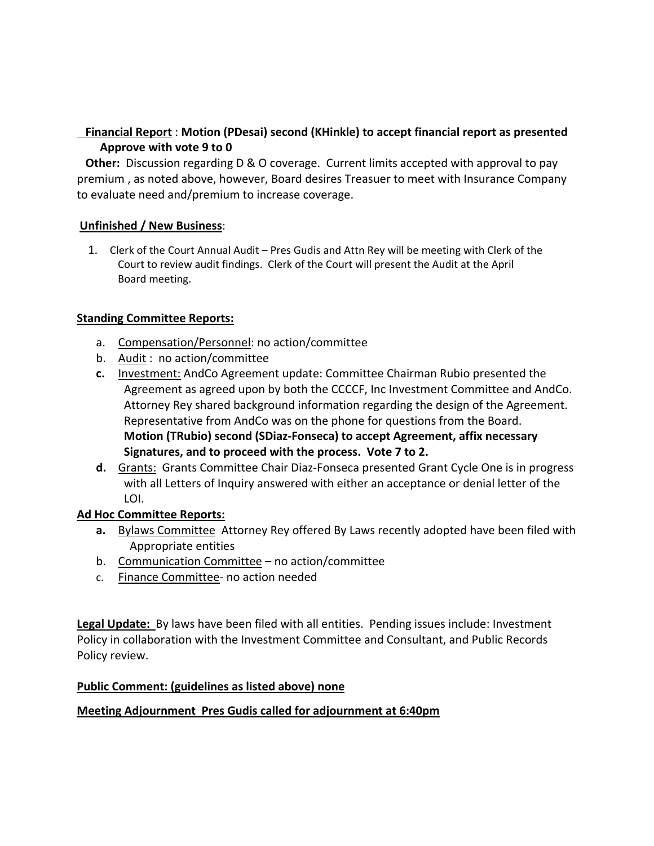# **Financial Report** : **Motion (PDesai) second (KHinkle) to accept financial report as presented Approve with vote 9 to 0**

 **Other:** Discussion regarding D & O coverage. Current limits accepted with approval to pay premium , as noted above, however, Board desires Treasuer to meet with Insurance Company to evaluate need and/premium to increase coverage.

# **Unfinished / New Business**:

1. Clerk of the Court Annual Audit – Pres Gudis and Attn Rey will be meeting with Clerk of the Court to review audit findings. Clerk of the Court will present the Audit at the April Board meeting.

### **Standing Committee Reports:**

- a. Compensation/Personnel: no action/committee
- b. Audit : no action/committee
- **c.** Investment: AndCo Agreement update: Committee Chairman Rubio presented the Agreement as agreed upon by both the CCCCF, Inc Investment Committee and AndCo. Attorney Rey shared background information regarding the design of the Agreement. Representative from AndCo was on the phone for questions from the Board. **Motion (TRubio) second (SDiaz-Fonseca) to accept Agreement, affix necessary Signatures, and to proceed with the process. Vote 7 to 2.**
- **d.** Grants: Grants Committee Chair Diaz-Fonseca presented Grant Cycle One is in progress with all Letters of Inquiry answered with either an acceptance or denial letter of the LOI.

# **Ad Hoc Committee Reports:**

- **a.** Bylaws Committee Attorney Rey offered By Laws recently adopted have been filed with Appropriate entities
- b. Communication Committee no action/committee
- c. Finance Committee- no action needed

**Legal Update:** By laws have been filed with all entities. Pending issues include: Investment Policy in collaboration with the Investment Committee and Consultant, and Public Records Policy review.

#### **Public Comment: (guidelines as listed above) none**

#### **Meeting Adjournment Pres Gudis called for adjournment at 6:40pm**